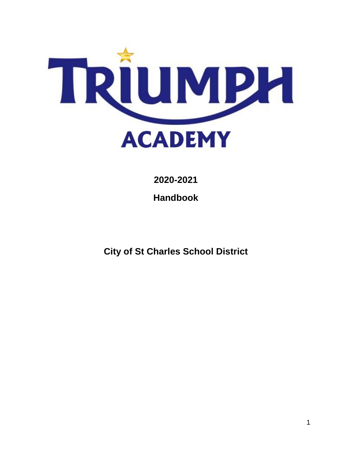

**2020-2021**

**Handbook**

**City of St Charles School District**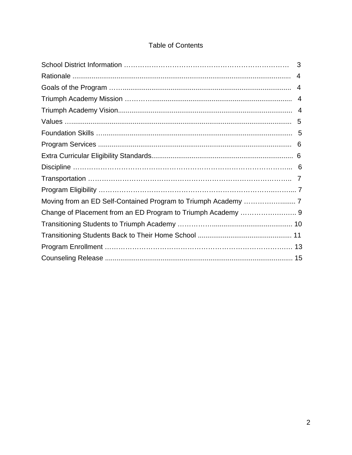# **Table of Contents**

|                                                              | $\overline{4}$ |
|--------------------------------------------------------------|----------------|
|                                                              | 4              |
|                                                              |                |
|                                                              |                |
|                                                              |                |
|                                                              |                |
|                                                              |                |
|                                                              |                |
|                                                              |                |
|                                                              |                |
|                                                              |                |
|                                                              |                |
| Change of Placement from an ED Program to Triumph Academy  9 |                |
|                                                              |                |
|                                                              |                |
|                                                              |                |
|                                                              |                |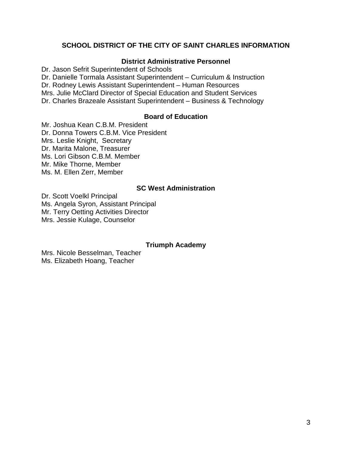#### **SCHOOL DISTRICT OF THE CITY OF SAINT CHARLES INFORMATION**

#### **District Administrative Personnel**

Dr. Jason Sefrit Superintendent of Schools Dr. Danielle Tormala Assistant Superintendent – Curriculum & Instruction Dr. Rodney Lewis Assistant Superintendent – Human Resources Mrs. Julie McClard Director of Special Education and Student Services Dr. Charles Brazeale Assistant Superintendent – Business & Technology

### **Board of Education**

Mr. Joshua Kean C.B.M. President Dr. Donna Towers C.B.M. Vice President Mrs. Leslie Knight, Secretary Dr. Marita Malone, Treasurer Ms. Lori Gibson C.B.M. Member Mr. Mike Thorne, Member Ms. M. Ellen Zerr, Member

#### **SC West Administration**

Dr. Scott Voelkl Principal Ms. Angela Syron, Assistant Principal Mr. Terry Oetting Activities Director Mrs. Jessie Kulage, Counselor

#### **Triumph Academy**

Mrs. Nicole Besselman, Teacher Ms. Elizabeth Hoang, Teacher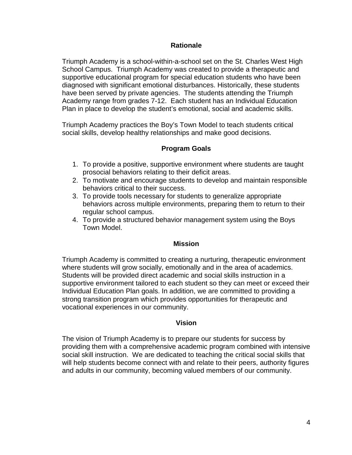#### **Rationale**

Triumph Academy is a school-within-a-school set on the St. Charles West High School Campus. Triumph Academy was created to provide a therapeutic and supportive educational program for special education students who have been diagnosed with significant emotional disturbances. Historically, these students have been served by private agencies. The students attending the Triumph Academy range from grades 7-12. Each student has an Individual Education Plan in place to develop the student's emotional, social and academic skills.

Triumph Academy practices the Boy's Town Model to teach students critical social skills, develop healthy relationships and make good decisions.

## **Program Goals**

- 1. To provide a positive, supportive environment where students are taught prosocial behaviors relating to their deficit areas.
- 2. To motivate and encourage students to develop and maintain responsible behaviors critical to their success.
- 3. To provide tools necessary for students to generalize appropriate behaviors across multiple environments, preparing them to return to their regular school campus.
- 4. To provide a structured behavior management system using the Boys Town Model.

#### **Mission**

Triumph Academy is committed to creating a nurturing, therapeutic environment where students will grow socially, emotionally and in the area of academics. Students will be provided direct academic and social skills instruction in a supportive environment tailored to each student so they can meet or exceed their Individual Education Plan goals. In addition, we are committed to providing a strong transition program which provides opportunities for therapeutic and vocational experiences in our community.

#### **Vision**

The vision of Triumph Academy is to prepare our students for success by providing them with a comprehensive academic program combined with intensive social skill instruction. We are dedicated to teaching the critical social skills that will help students become connect with and relate to their peers, authority figures and adults in our community, becoming valued members of our community.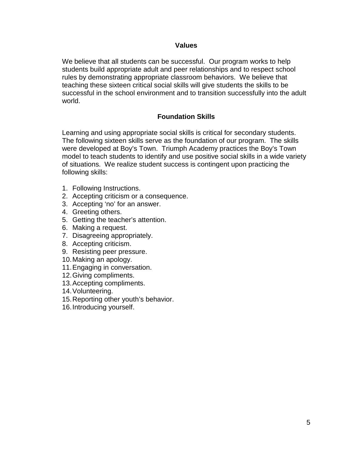#### **Values**

We believe that all students can be successful. Our program works to help students build appropriate adult and peer relationships and to respect school rules by demonstrating appropriate classroom behaviors. We believe that teaching these sixteen critical social skills will give students the skills to be successful in the school environment and to transition successfully into the adult world.

#### **Foundation Skills**

Learning and using appropriate social skills is critical for secondary students. The following sixteen skills serve as the foundation of our program. The skills were developed at Boy's Town. Triumph Academy practices the Boy's Town model to teach students to identify and use positive social skills in a wide variety of situations. We realize student success is contingent upon practicing the following skills:

- 1. Following Instructions.
- 2. Accepting criticism or a consequence.
- 3. Accepting 'no' for an answer.
- 4. Greeting others.
- 5. Getting the teacher's attention.
- 6. Making a request.
- 7. Disagreeing appropriately.
- 8. Accepting criticism.
- 9. Resisting peer pressure.
- 10.Making an apology.
- 11.Engaging in conversation.
- 12.Giving compliments.
- 13.Accepting compliments.
- 14.Volunteering.
- 15.Reporting other youth's behavior.
- 16.Introducing yourself.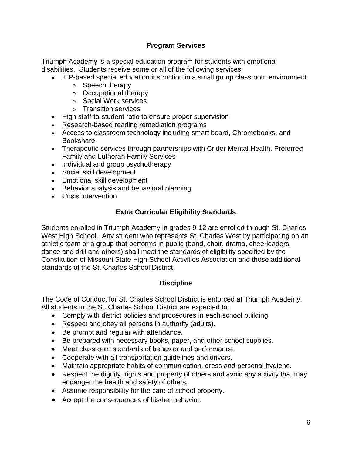# **Program Services**

Triumph Academy is a special education program for students with emotional disabilities. Students receive some or all of the following services:

- IEP-based special education instruction in a small group classroom environment
	- o Speech therapy
	- o Occupational therapy
	- o Social Work services
	- o Transition services
- High staff-to-student ratio to ensure proper supervision
- Research-based reading remediation programs
- Access to classroom technology including smart board, Chromebooks, and Bookshare.
- Therapeutic services through partnerships with Crider Mental Health, Preferred Family and Lutheran Family Services
- Individual and group psychotherapy
- Social skill development
- Emotional skill development
- Behavior analysis and behavioral planning
- Crisis intervention

# **Extra Curricular Eligibility Standards**

Students enrolled in Triumph Academy in grades 9-12 are enrolled through St. Charles West High School. Any student who represents St. Charles West by participating on an athletic team or a group that performs in public (band, choir, drama, cheerleaders, dance and drill and others) shall meet the standards of eligibility specified by the Constitution of Missouri State High School Activities Association and those additional standards of the St. Charles School District.

# **Discipline**

The Code of Conduct for St. Charles School District is enforced at Triumph Academy. All students in the St. Charles School District are expected to:

- Comply with district policies and procedures in each school building.
- Respect and obey all persons in authority (adults).
- Be prompt and regular with attendance.
- Be prepared with necessary books, paper, and other school supplies.
- Meet classroom standards of behavior and performance.
- Cooperate with all transportation guidelines and drivers.
- Maintain appropriate habits of communication, dress and personal hygiene.
- Respect the dignity, rights and property of others and avoid any activity that may endanger the health and safety of others.
- Assume responsibility for the care of school property.
- Accept the consequences of his/her behavior.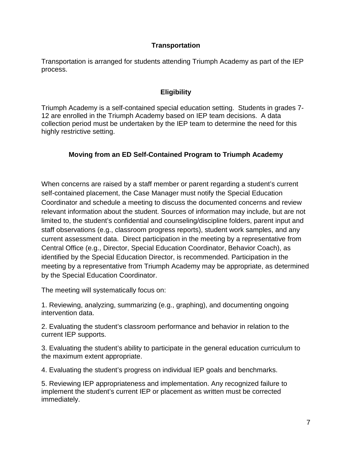### **Transportation**

Transportation is arranged for students attending Triumph Academy as part of the IEP process.

## **Eligibility**

Triumph Academy is a self-contained special education setting. Students in grades 7- 12 are enrolled in the Triumph Academy based on IEP team decisions. A data collection period must be undertaken by the IEP team to determine the need for this highly restrictive setting.

# **Moving from an ED Self-Contained Program to Triumph Academy**

When concerns are raised by a staff member or parent regarding a student's current self-contained placement, the Case Manager must notify the Special Education Coordinator and schedule a meeting to discuss the documented concerns and review relevant information about the student. Sources of information may include, but are not limited to, the student's confidential and counseling/discipline folders, parent input and staff observations (e.g., classroom progress reports), student work samples, and any current assessment data. Direct participation in the meeting by a representative from Central Office (e.g., Director, Special Education Coordinator, Behavior Coach), as identified by the Special Education Director, is recommended. Participation in the meeting by a representative from Triumph Academy may be appropriate, as determined by the Special Education Coordinator.

The meeting will systematically focus on:

1. Reviewing, analyzing, summarizing (e.g., graphing), and documenting ongoing intervention data.

2. Evaluating the student's classroom performance and behavior in relation to the current IEP supports.

3. Evaluating the student's ability to participate in the general education curriculum to the maximum extent appropriate.

4. Evaluating the student's progress on individual IEP goals and benchmarks.

5. Reviewing IEP appropriateness and implementation. Any recognized failure to implement the student's current IEP or placement as written must be corrected immediately.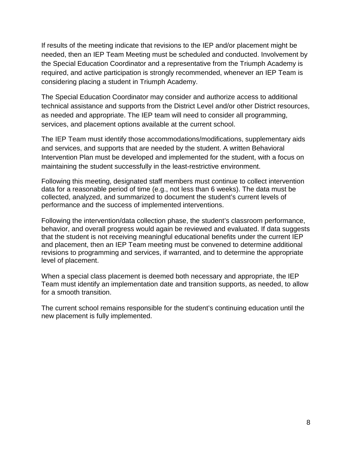If results of the meeting indicate that revisions to the IEP and/or placement might be needed, then an IEP Team Meeting must be scheduled and conducted. Involvement by the Special Education Coordinator and a representative from the Triumph Academy is required, and active participation is strongly recommended, whenever an IEP Team is considering placing a student in Triumph Academy.

The Special Education Coordinator may consider and authorize access to additional technical assistance and supports from the District Level and/or other District resources, as needed and appropriate. The IEP team will need to consider all programming, services, and placement options available at the current school.

The IEP Team must identify those accommodations/modifications, supplementary aids and services, and supports that are needed by the student. A written Behavioral Intervention Plan must be developed and implemented for the student, with a focus on maintaining the student successfully in the least-restrictive environment.

Following this meeting, designated staff members must continue to collect intervention data for a reasonable period of time (e.g., not less than 6 weeks). The data must be collected, analyzed, and summarized to document the student's current levels of performance and the success of implemented interventions.

Following the intervention/data collection phase, the student's classroom performance, behavior, and overall progress would again be reviewed and evaluated. If data suggests that the student is not receiving meaningful educational benefits under the current IEP and placement, then an IEP Team meeting must be convened to determine additional revisions to programming and services, if warranted, and to determine the appropriate level of placement.

When a special class placement is deemed both necessary and appropriate, the IEP Team must identify an implementation date and transition supports, as needed, to allow for a smooth transition.

The current school remains responsible for the student's continuing education until the new placement is fully implemented.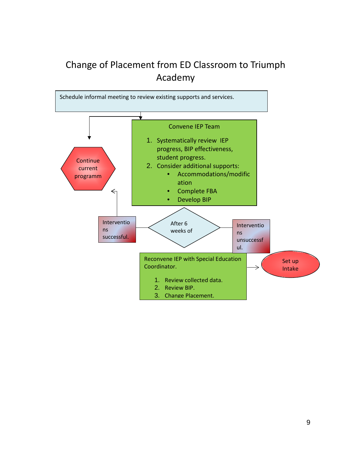# Change of Placement from ED Classroom to Triumph Academy

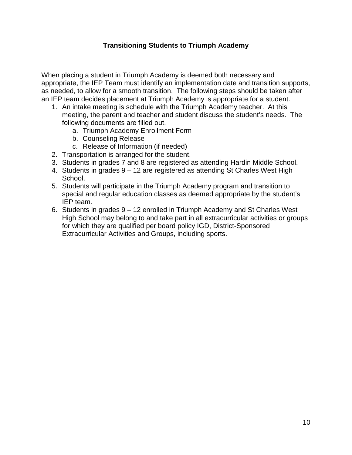## **Transitioning Students to Triumph Academy**

When placing a student in Triumph Academy is deemed both necessary and appropriate, the IEP Team must identify an implementation date and transition supports, as needed, to allow for a smooth transition. The following steps should be taken after an IEP team decides placement at Triumph Academy is appropriate for a student.

- 1. An intake meeting is schedule with the Triumph Academy teacher. At this meeting, the parent and teacher and student discuss the student's needs. The following documents are filled out.
	- a. Triumph Academy Enrollment Form
	- b. Counseling Release
	- c. Release of Information (if needed)
- 2. Transportation is arranged for the student.
- 3. Students in grades 7 and 8 are registered as attending Hardin Middle School.
- 4. Students in grades 9 12 are registered as attending St Charles West High School.
- 5. Students will participate in the Triumph Academy program and transition to special and regular education classes as deemed appropriate by the student's IEP team.
- 6. Students in grades 9 12 enrolled in Triumph Academy and St Charles West High School may belong to and take part in all extracurricular activities or groups for which they are qualified per board policy IGD, District-Sponsored Extracurricular Activities and Groups, including sports.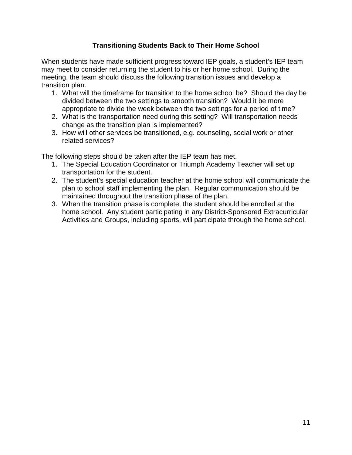## **Transitioning Students Back to Their Home School**

When students have made sufficient progress toward IEP goals, a student's IEP team may meet to consider returning the student to his or her home school. During the meeting, the team should discuss the following transition issues and develop a transition plan.

- 1. What will the timeframe for transition to the home school be? Should the day be divided between the two settings to smooth transition? Would it be more appropriate to divide the week between the two settings for a period of time?
- 2. What is the transportation need during this setting? Will transportation needs change as the transition plan is implemented?
- 3. How will other services be transitioned, e.g. counseling, social work or other related services?

The following steps should be taken after the IEP team has met.

- 1. The Special Education Coordinator or Triumph Academy Teacher will set up transportation for the student.
- 2. The student's special education teacher at the home school will communicate the plan to school staff implementing the plan. Regular communication should be maintained throughout the transition phase of the plan.
- 3. When the transition phase is complete, the student should be enrolled at the home school. Any student participating in any District-Sponsored Extracurricular Activities and Groups, including sports, will participate through the home school.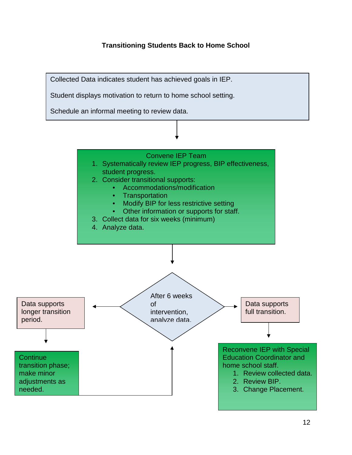# **Transitioning Students Back to Home School**

Collected Data indicates student has achieved goals in IEP.

Student displays motivation to return to home school setting.

Schedule an informal meeting to review data.

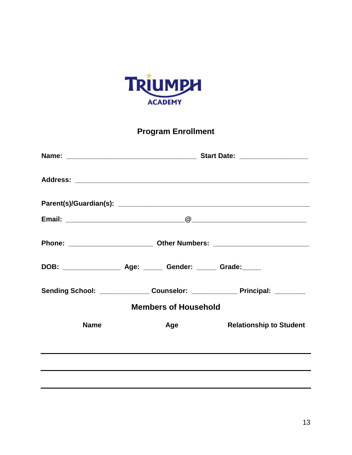

**Program Enrollment**

|                             |                                                                          | Start Date: __________________                                                    |  |  |
|-----------------------------|--------------------------------------------------------------------------|-----------------------------------------------------------------------------------|--|--|
|                             |                                                                          |                                                                                   |  |  |
|                             |                                                                          |                                                                                   |  |  |
|                             |                                                                          |                                                                                   |  |  |
|                             |                                                                          |                                                                                   |  |  |
|                             | DOB: _______________________ Age: ________ Gender: _______ Grade: ______ |                                                                                   |  |  |
|                             |                                                                          | Sending School: _________________ Counselor: ________________ Principal: ________ |  |  |
| <b>Members of Household</b> |                                                                          |                                                                                   |  |  |
| <b>Name</b>                 | Age                                                                      | <b>Relationship to Student</b>                                                    |  |  |
|                             |                                                                          |                                                                                   |  |  |
|                             |                                                                          |                                                                                   |  |  |
|                             |                                                                          |                                                                                   |  |  |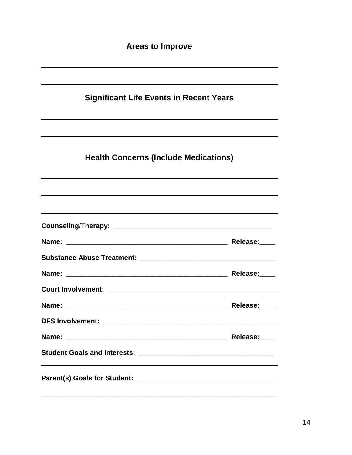| <b>Significant Life Events in Recent Years</b>                                   |          |  |
|----------------------------------------------------------------------------------|----------|--|
|                                                                                  |          |  |
| <b>Health Concerns (Include Medications)</b>                                     |          |  |
|                                                                                  |          |  |
| ,我们也不会有什么。""我们的人,我们也不会有什么?""我们的人,我们也不会有什么?""我们的人,我们也不会有什么?""我们的人,我们也不会有什么?""我们的人 |          |  |
|                                                                                  | Release: |  |
|                                                                                  |          |  |
|                                                                                  |          |  |
|                                                                                  |          |  |
|                                                                                  |          |  |
|                                                                                  |          |  |
|                                                                                  |          |  |
| <b>Student Goals and Interests:</b>                                              |          |  |
|                                                                                  |          |  |